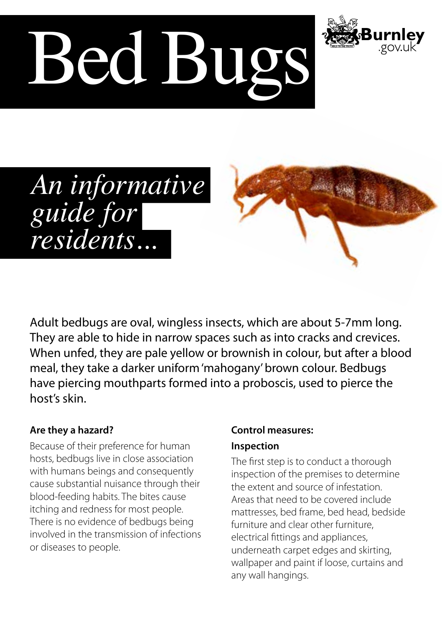# Bed Bu





Adult bedbugs are oval, wingless insects, which are about 5-7mm long. They are able to hide in narrow spaces such as into cracks and crevices. When unfed, they are pale yellow or brownish in colour, but after a blood meal, they take a darker uniform 'mahogany' brown colour. Bedbugs have piercing mouthparts formed into a proboscis, used to pierce the host's skin.

### **Are they a hazard?**

Because of their preference for human hosts, bedbugs live in close association with humans beings and consequently cause substantial nuisance through their blood-feeding habits. The bites cause itching and redness for most people. There is no evidence of bedbugs being involved in the transmission of infections or diseases to people.

## **Control measures: Inspection**

The first step is to conduct a thorough inspection of the premises to determine the extent and source of infestation. Areas that need to be covered include mattresses, bed frame, bed head, bedside furniture and clear other furniture, electrical fittings and appliances, underneath carpet edges and skirting, wallpaper and paint if loose, curtains and any wall hangings.